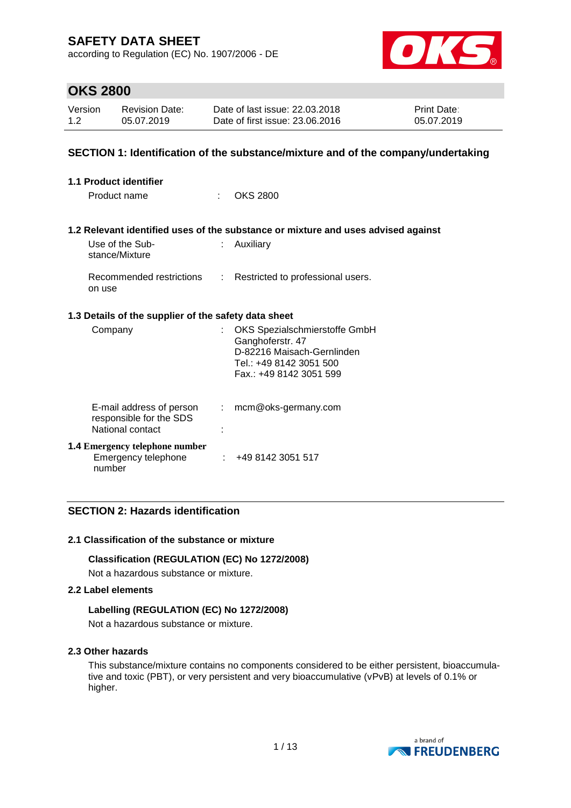according to Regulation (EC) No. 1907/2006 - DE



## **OKS 2800**

| Version | <b>Revision Date:</b> | Date of last issue: 22.03.2018  | <b>Print Date:</b> |
|---------|-----------------------|---------------------------------|--------------------|
| 1.2     | 05.07.2019            | Date of first issue: 23,06,2016 | 05.07.2019         |

### **SECTION 1: Identification of the substance/mixture and of the company/undertaking**

| 1.1 Product identifier                                                  |    |                                                                                                                                       |  |  |  |
|-------------------------------------------------------------------------|----|---------------------------------------------------------------------------------------------------------------------------------------|--|--|--|
| Product name                                                            | t. | <b>OKS 2800</b>                                                                                                                       |  |  |  |
|                                                                         |    | 1.2 Relevant identified uses of the substance or mixture and uses advised against                                                     |  |  |  |
| Use of the Sub-<br>stance/Mixture                                       | t. | Auxiliary                                                                                                                             |  |  |  |
| on use                                                                  |    | Recommended restrictions : Restricted to professional users.                                                                          |  |  |  |
| 1.3 Details of the supplier of the safety data sheet                    |    |                                                                                                                                       |  |  |  |
| Company                                                                 |    | OKS Spezialschmierstoffe GmbH<br>Ganghoferstr. 47<br>D-82216 Maisach-Gernlinden<br>Tel.: +49 8142 3051 500<br>Fax.: +49 8142 3051 599 |  |  |  |
| E-mail address of person<br>responsible for the SDS<br>National contact | t. | mcm@oks-germany.com                                                                                                                   |  |  |  |
| <b>1.4 Emergency telephone number</b><br>Emergency telephone<br>number  |    | : 4981423051517                                                                                                                       |  |  |  |

### **SECTION 2: Hazards identification**

#### **2.1 Classification of the substance or mixture**

#### **Classification (REGULATION (EC) No 1272/2008)**

Not a hazardous substance or mixture.

#### **2.2 Label elements**

#### **Labelling (REGULATION (EC) No 1272/2008)**

Not a hazardous substance or mixture.

#### **2.3 Other hazards**

This substance/mixture contains no components considered to be either persistent, bioaccumulative and toxic (PBT), or very persistent and very bioaccumulative (vPvB) at levels of 0.1% or higher.

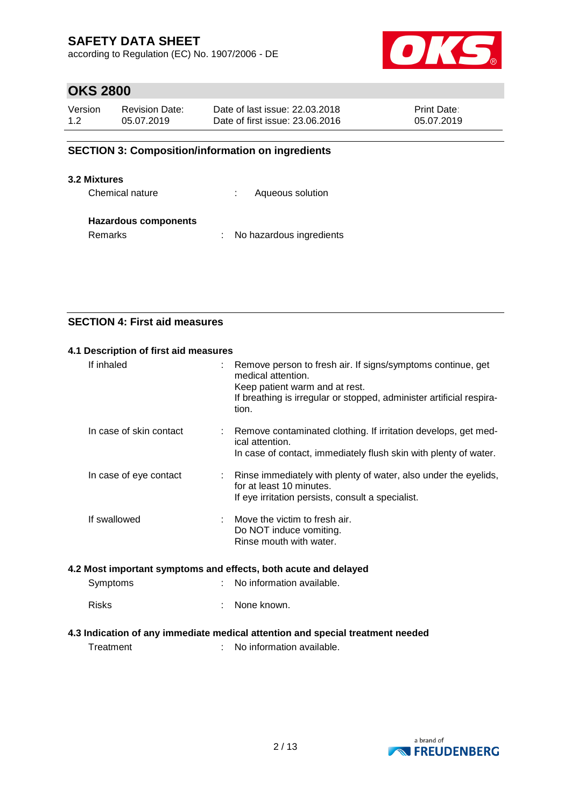according to Regulation (EC) No. 1907/2006 - DE



## **OKS 2800**

| Version | <b>Revision Date:</b> | Date of last issue: 22,03,2018  | <b>Print Date:</b> |
|---------|-----------------------|---------------------------------|--------------------|
| 1.2     | 05.07.2019            | Date of first issue: 23,06,2016 | 05.07.2019         |

### **SECTION 3: Composition/information on ingredients**

#### **3.2 Mixtures**

Chemical nature **:** Aqueous solution

#### **Hazardous components**

Remarks : No hazardous ingredients

### **SECTION 4: First aid measures**

| 4.1 Description of first aid measures                           |  |                                                                                                                                                                                                      |  |  |  |  |
|-----------------------------------------------------------------|--|------------------------------------------------------------------------------------------------------------------------------------------------------------------------------------------------------|--|--|--|--|
| If inhaled                                                      |  | Remove person to fresh air. If signs/symptoms continue, get<br>medical attention.<br>Keep patient warm and at rest.<br>If breathing is irregular or stopped, administer artificial respira-<br>tion. |  |  |  |  |
| In case of skin contact                                         |  | Remove contaminated clothing. If irritation develops, get med-<br>ical attention.<br>In case of contact, immediately flush skin with plenty of water.                                                |  |  |  |  |
| In case of eye contact                                          |  | Rinse immediately with plenty of water, also under the eyelids,<br>for at least 10 minutes.<br>If eye irritation persists, consult a specialist.                                                     |  |  |  |  |
| If swallowed                                                    |  | Move the victim to fresh air.<br>Do NOT induce vomiting.<br>Rinse mouth with water.                                                                                                                  |  |  |  |  |
| 4.2 Most important symptoms and effects, both acute and delayed |  |                                                                                                                                                                                                      |  |  |  |  |
| Symptoms                                                        |  | No information available.                                                                                                                                                                            |  |  |  |  |
| <b>Risks</b>                                                    |  | None known.                                                                                                                                                                                          |  |  |  |  |

## **4.3 Indication of any immediate medical attention and special treatment needed**

Treatment : No information available.

a brand of **NO FREUDENBERG**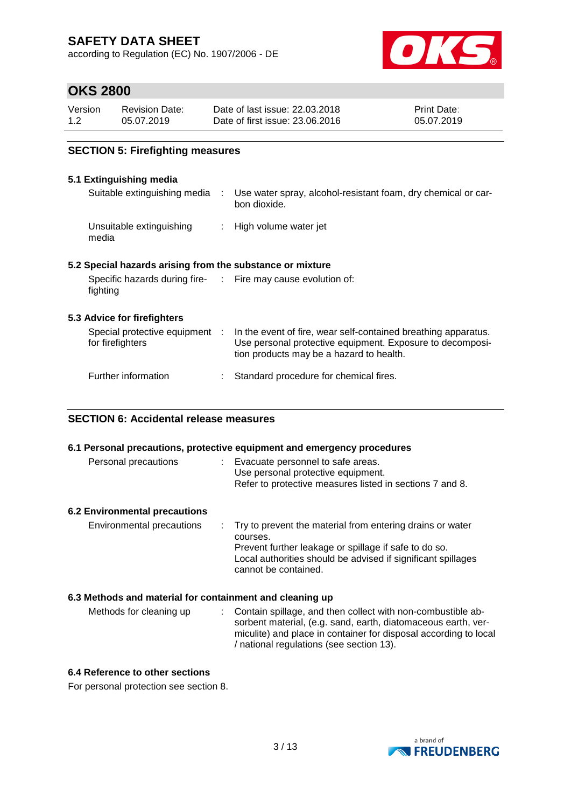according to Regulation (EC) No. 1907/2006 - DE



## **OKS 2800**

| Version | <b>Revision Date:</b> | Date of last issue: 22.03.2018  | <b>Print Date:</b> |
|---------|-----------------------|---------------------------------|--------------------|
| 1.2     | 05.07.2019            | Date of first issue: 23,06,2016 | 05.07.2019         |

### **SECTION 5: Firefighting measures**

#### **5.1 Extinguishing media**

|                                                                          | Suitable extinguishing media : Use water spray, alcohol-resistant foam, dry chemical or car-<br>bon dioxide.                                                            |
|--------------------------------------------------------------------------|-------------------------------------------------------------------------------------------------------------------------------------------------------------------------|
| Unsuitable extinguishing<br>media                                        | : High volume water jet                                                                                                                                                 |
| 5.2 Special hazards arising from the substance or mixture                |                                                                                                                                                                         |
| Specific hazards during fire- : Fire may cause evolution of:<br>fighting |                                                                                                                                                                         |
| 5.3 Advice for firefighters                                              |                                                                                                                                                                         |
| Special protective equipment :<br>for firefighters                       | In the event of fire, wear self-contained breathing apparatus.<br>Use personal protective equipment. Exposure to decomposi-<br>tion products may be a hazard to health. |
| Further information                                                      | Standard procedure for chemical fires.                                                                                                                                  |

#### **SECTION 6: Accidental release measures**

|                                                          | 6.1 Personal precautions, protective equipment and emergency procedures                                                                                                                                                |
|----------------------------------------------------------|------------------------------------------------------------------------------------------------------------------------------------------------------------------------------------------------------------------------|
| Personal precautions                                     | : Evacuate personnel to safe areas.<br>Use personal protective equipment.<br>Refer to protective measures listed in sections 7 and 8.                                                                                  |
| <b>6.2 Environmental precautions</b>                     |                                                                                                                                                                                                                        |
| Environmental precautions                                | Try to prevent the material from entering drains or water<br>courses.<br>Prevent further leakage or spillage if safe to do so.<br>Local authorities should be advised if significant spillages<br>cannot be contained. |
| 6.3 Methods and material for containment and cleaning up |                                                                                                                                                                                                                        |
| Methods for cleaning up                                  | Contain spillage, and then collect with non-combustible ab-<br>$\mathbb{Z}^{\mathbb{Z}}$<br>sorbent material, (e.g. sand, earth, diatomaceous earth, ver-                                                              |

#### **6.4 Reference to other sections**

For personal protection see section 8.



miculite) and place in container for disposal according to local

/ national regulations (see section 13).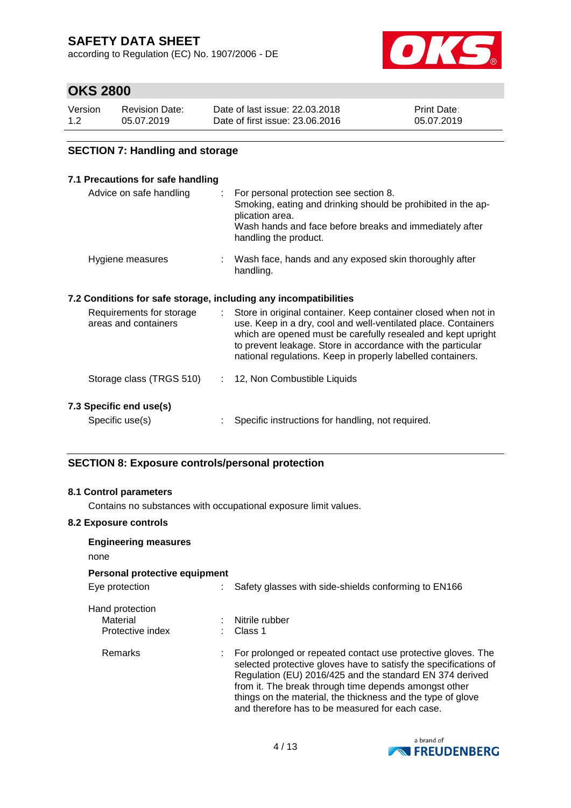according to Regulation (EC) No. 1907/2006 - DE



## **OKS 2800**

| Version | <b>Revision Date:</b> | Date of last issue: 22,03,2018  | <b>Print Date:</b> |
|---------|-----------------------|---------------------------------|--------------------|
| 1.2     | 05.07.2019            | Date of first issue: 23,06,2016 | 05.07.2019         |

### **SECTION 7: Handling and storage**

#### **7.1 Precautions for safe handling**

| Advice on safe handling | For personal protection see section 8.<br>Smoking, eating and drinking should be prohibited in the ap-<br>plication area.<br>Wash hands and face before breaks and immediately after<br>handling the product. |
|-------------------------|---------------------------------------------------------------------------------------------------------------------------------------------------------------------------------------------------------------|
| Hygiene measures        | Wash face, hands and any exposed skin thoroughly after<br>handling.                                                                                                                                           |

### **7.2 Conditions for safe storage, including any incompatibilities**

| Requirements for storage<br>areas and containers | Store in original container. Keep container closed when not in<br>use. Keep in a dry, cool and well-ventilated place. Containers<br>which are opened must be carefully resealed and kept upright<br>to prevent leakage. Store in accordance with the particular<br>national regulations. Keep in properly labelled containers. |
|--------------------------------------------------|--------------------------------------------------------------------------------------------------------------------------------------------------------------------------------------------------------------------------------------------------------------------------------------------------------------------------------|
| Storage class (TRGS 510)                         | : 12, Non Combustible Liquids                                                                                                                                                                                                                                                                                                  |
| 7.3 Specific end use(s)<br>Specific use(s)       | Specific instructions for handling, not required.                                                                                                                                                                                                                                                                              |

### **SECTION 8: Exposure controls/personal protection**

#### **8.1 Control parameters**

Contains no substances with occupational exposure limit values.

#### **8.2 Exposure controls**

| <b>Engineering measures</b><br>none             |                                                                                                                                                                                                                                                                                                                                                                         |
|-------------------------------------------------|-------------------------------------------------------------------------------------------------------------------------------------------------------------------------------------------------------------------------------------------------------------------------------------------------------------------------------------------------------------------------|
| Personal protective equipment                   |                                                                                                                                                                                                                                                                                                                                                                         |
| Eye protection                                  | Safety glasses with side-shields conforming to EN166                                                                                                                                                                                                                                                                                                                    |
| Hand protection<br>Material<br>Protective index | Nitrile rubber<br>Class 1                                                                                                                                                                                                                                                                                                                                               |
| Remarks                                         | For prolonged or repeated contact use protective gloves. The<br>selected protective gloves have to satisfy the specifications of<br>Regulation (EU) 2016/425 and the standard EN 374 derived<br>from it. The break through time depends amongst other<br>things on the material, the thickness and the type of glove<br>and therefore has to be measured for each case. |

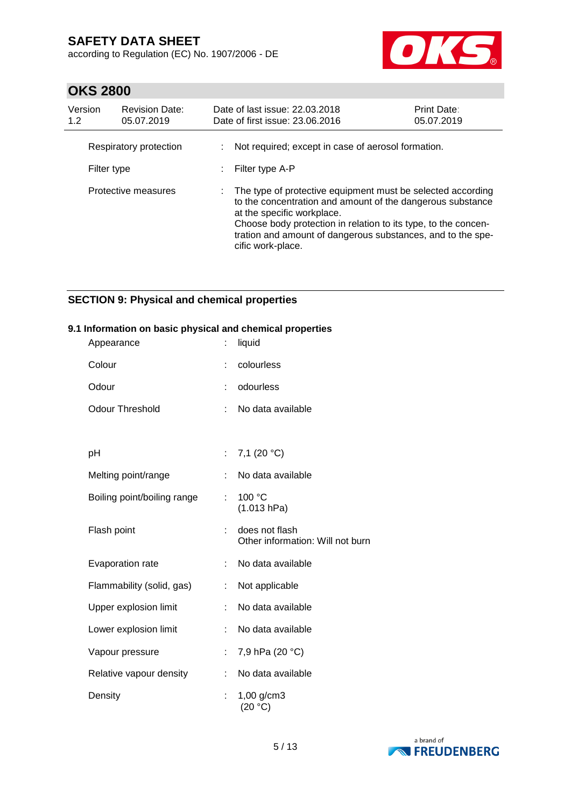according to Regulation (EC) No. 1907/2006 - DE



# **OKS 2800**

| Version<br>1.2 | <b>Revision Date:</b><br>05.07.2019 | Date of last issue: 22.03.2018<br>Date of first issue: 23.06.2016                                                                                                                                                                                                                                             | Print Date:<br>05.07.2019 |
|----------------|-------------------------------------|---------------------------------------------------------------------------------------------------------------------------------------------------------------------------------------------------------------------------------------------------------------------------------------------------------------|---------------------------|
| Filter type    | Respiratory protection              | Not required; except in case of aerosol formation.<br>Filter type A-P                                                                                                                                                                                                                                         |                           |
|                | Protective measures                 | The type of protective equipment must be selected according<br>to the concentration and amount of the dangerous substance<br>at the specific workplace.<br>Choose body protection in relation to its type, to the concen-<br>tration and amount of dangerous substances, and to the spe-<br>cific work-place. |                           |

## **SECTION 9: Physical and chemical properties**

#### **9.1 Information on basic physical and chemical properties**

| Appearance                  | İ. | liquid                                             |
|-----------------------------|----|----------------------------------------------------|
| Colour                      |    | colourless                                         |
| Odour                       |    | odourless                                          |
| <b>Odour Threshold</b>      | t. | No data available                                  |
|                             |    |                                                    |
| рH                          | t. | 7,1 $(20 °C)$                                      |
| Melting point/range         |    | No data available                                  |
| Boiling point/boiling range | ÷  | 100 °C<br>(1.013 hPa)                              |
| Flash point                 |    | does not flash<br>Other information: Will not burn |
| Evaporation rate            |    | No data available                                  |
| Flammability (solid, gas)   |    | Not applicable                                     |
| Upper explosion limit       | ÷  | No data available                                  |
| Lower explosion limit       | ÷. | No data available                                  |
| Vapour pressure             |    | 7,9 hPa (20 °C)                                    |
| Relative vapour density     |    | No data available                                  |
| Density                     |    | 1,00 g/cm3<br>(20 °C)                              |

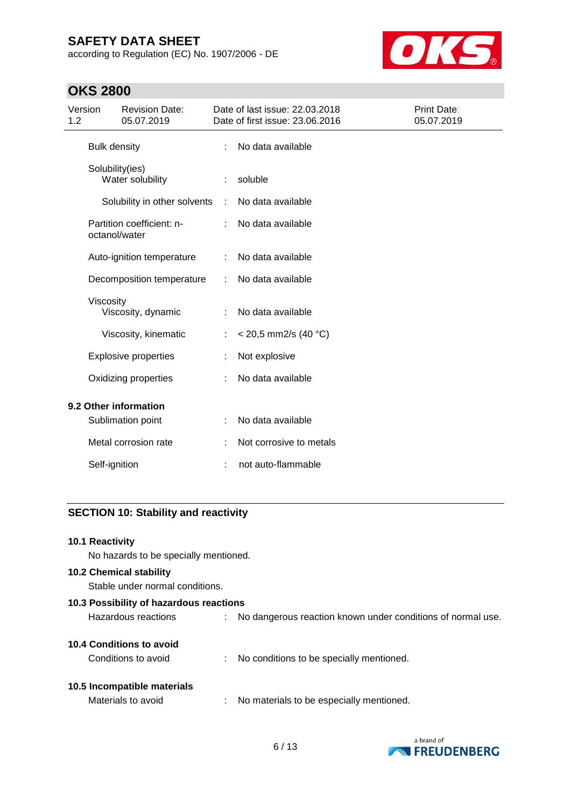according to Regulation (EC) No. 1907/2006 - DE



# **OKS 2800**

| Version<br>1.2 |                     | <b>Revision Date:</b><br>05.07.2019 |   | Date of last issue: 22.03.2018<br>Date of first issue: 23.06.2016 | Print Date:<br>05.07.2019 |
|----------------|---------------------|-------------------------------------|---|-------------------------------------------------------------------|---------------------------|
|                | <b>Bulk density</b> |                                     | ÷ | No data available                                                 |                           |
|                | Solubility(ies)     | Water solubility                    |   | soluble                                                           |                           |
|                |                     | Solubility in other solvents        | ÷ | No data available                                                 |                           |
|                | octanol/water       | Partition coefficient: n-           |   | No data available                                                 |                           |
|                |                     | Auto-ignition temperature           | ÷ | No data available                                                 |                           |
|                |                     | Decomposition temperature           | ÷ | No data available                                                 |                           |
|                | Viscosity           | Viscosity, dynamic                  |   | No data available                                                 |                           |
|                |                     | Viscosity, kinematic                |   | $<$ 20,5 mm2/s (40 °C)                                            |                           |
|                |                     | <b>Explosive properties</b>         |   | Not explosive                                                     |                           |
|                |                     | Oxidizing properties                |   | No data available                                                 |                           |
|                |                     | 9.2 Other information               |   |                                                                   |                           |
|                |                     | Sublimation point                   |   | No data available                                                 |                           |
|                |                     | Metal corrosion rate                |   | Not corrosive to metals                                           |                           |
|                | Self-ignition       |                                     |   | not auto-flammable                                                |                           |

### **SECTION 10: Stability and reactivity**

#### **10.1 Reactivity**

No hazards to be specially mentioned.

### **10.2 Chemical stability**

Stable under normal conditions.

| 10.3 Possibility of hazardous reactions |    |                                                             |  |  |
|-----------------------------------------|----|-------------------------------------------------------------|--|--|
| Hazardous reactions                     |    | No dangerous reaction known under conditions of normal use. |  |  |
|                                         |    |                                                             |  |  |
| 10.4 Conditions to avoid                |    |                                                             |  |  |
| Conditions to avoid                     | ÷  | No conditions to be specially mentioned.                    |  |  |
|                                         |    |                                                             |  |  |
| 10.5 Incompatible materials             |    |                                                             |  |  |
| Materials to avoid                      | ÷. | No materials to be especially mentioned.                    |  |  |
|                                         |    |                                                             |  |  |

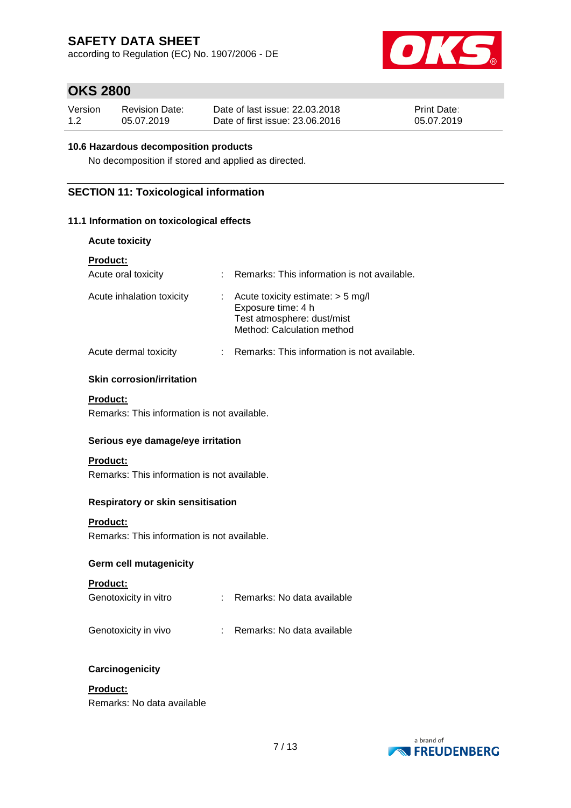according to Regulation (EC) No. 1907/2006 - DE



## **OKS 2800**

| Version | <b>Revision Date:</b> | Date of last issue: 22,03,2018  | <b>Print Date:</b> |
|---------|-----------------------|---------------------------------|--------------------|
| 1.2     | 05.07.2019            | Date of first issue: 23,06,2016 | 05.07.2019         |

### **10.6 Hazardous decomposition products**

No decomposition if stored and applied as directed.

### **SECTION 11: Toxicological information**

### **11.1 Information on toxicological effects**

#### **Acute toxicity**

| <b>Product:</b>           |                                                                                                                       |
|---------------------------|-----------------------------------------------------------------------------------------------------------------------|
| Acute oral toxicity       | Remarks: This information is not available.                                                                           |
| Acute inhalation toxicity | Acute toxicity estimate: $>$ 5 mg/l<br>Exposure time: 4 h<br>Test atmosphere: dust/mist<br>Method: Calculation method |
| Acute dermal toxicity     | Remarks: This information is not available.                                                                           |

#### **Skin corrosion/irritation**

#### **Product:**

Remarks: This information is not available.

#### **Serious eye damage/eye irritation**

#### **Product:**

Remarks: This information is not available.

#### **Respiratory or skin sensitisation**

### **Product:**

Remarks: This information is not available.

### **Germ cell mutagenicity**

#### **Product:**

| Remarks: No data available |
|----------------------------|
|                            |

### Genotoxicity in vivo : Remarks: No data available

#### **Carcinogenicity**

### **Product:**

Remarks: No data available

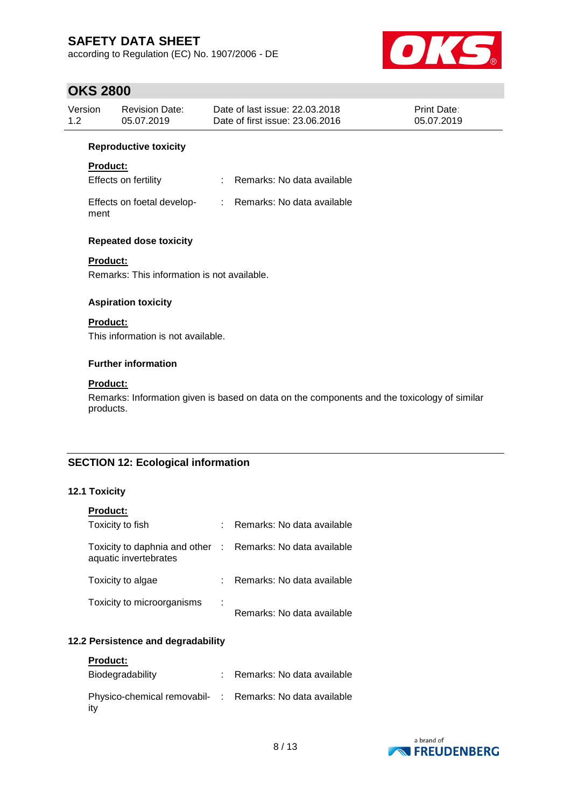according to Regulation (EC) No. 1907/2006 - DE



# **OKS 2800**

| UNJ ZOUU       |                                                                |                                                                                             |                           |
|----------------|----------------------------------------------------------------|---------------------------------------------------------------------------------------------|---------------------------|
| Version<br>1.2 | <b>Revision Date:</b><br>05.07.2019                            | Date of last issue: 22.03.2018<br>Date of first issue: 23.06.2016                           | Print Date:<br>05.07.2019 |
|                | <b>Reproductive toxicity</b>                                   |                                                                                             |                           |
|                | Product:                                                       |                                                                                             |                           |
|                | Effects on fertility                                           | Remarks: No data available<br>÷.                                                            |                           |
| ment           | Effects on foetal develop-                                     | : Remarks: No data available                                                                |                           |
|                | <b>Repeated dose toxicity</b>                                  |                                                                                             |                           |
|                | <b>Product:</b><br>Remarks: This information is not available. |                                                                                             |                           |
|                | <b>Aspiration toxicity</b>                                     |                                                                                             |                           |
|                | <b>Product:</b><br>This information is not available.          |                                                                                             |                           |
|                | <b>Further information</b>                                     |                                                                                             |                           |
|                | <b>Product:</b>                                                |                                                                                             |                           |
|                | products.                                                      | Remarks: Information given is based on data on the components and the toxicology of similar |                           |
|                |                                                                |                                                                                             |                           |
| . .            | <b>SECTION 12: Ecological information</b><br>.                 |                                                                                             |                           |

### **12.1 Toxicity**

| <b>Product:</b>                                                                     |   |                            |
|-------------------------------------------------------------------------------------|---|----------------------------|
| Toxicity to fish                                                                    |   | Remarks: No data available |
| Toxicity to daphnia and other : Remarks: No data available<br>aquatic invertebrates |   |                            |
| Toxicity to algae                                                                   |   | Remarks: No data available |
| Toxicity to microorganisms                                                          | ÷ | Remarks: No data available |

### **12.2 Persistence and degradability**

| <b>Product:</b>                                                 |                              |
|-----------------------------------------------------------------|------------------------------|
| Biodegradability                                                | : Remarks: No data available |
| Physico-chemical removabil- : Remarks: No data available<br>itv |                              |

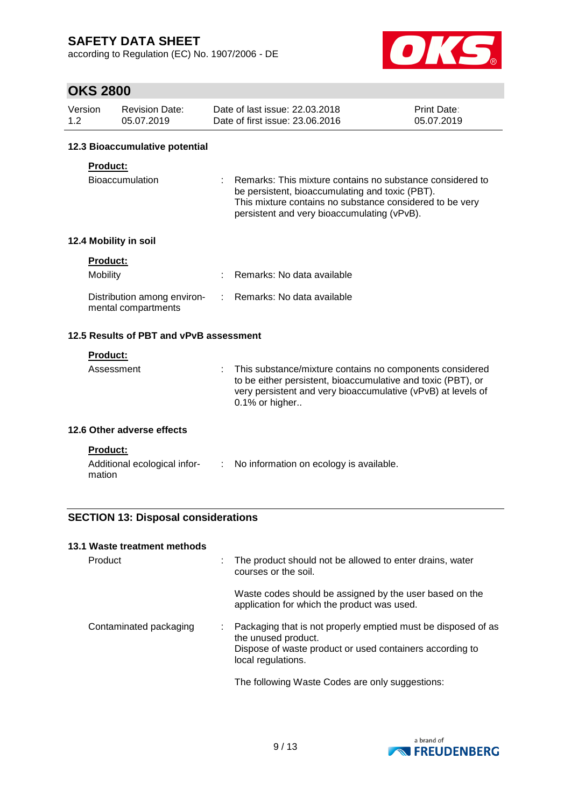according to Regulation (EC) No. 1907/2006 - DE



# **OKS 2800**

| Version | <b>Revision Date:</b> | Date of last issue: 22,03,2018  | <b>Print Date:</b> |
|---------|-----------------------|---------------------------------|--------------------|
| 1.2     | 05.07.2019            | Date of first issue: 23,06,2016 | 05.07.2019         |

#### **12.3 Bioaccumulative potential**

#### **Product:**

| <b>Bioaccumulation</b> | : Remarks: This mixture contains no substance considered to |
|------------------------|-------------------------------------------------------------|
|                        | be persistent, bioaccumulating and toxic (PBT).             |
|                        | This mixture contains no substance considered to be very    |
|                        | persistent and very bioaccumulating (vPvB).                 |

### **12.4 Mobility in soil**

| <b>Product:</b>                                    |                              |
|----------------------------------------------------|------------------------------|
| Mobility                                           | : Remarks: No data available |
| Distribution among environ-<br>mental compartments | : Remarks: No data available |

### **12.5 Results of PBT and vPvB assessment**

### **Product:**

| Assessment | : This substance/mixture contains no components considered<br>to be either persistent, bioaccumulative and toxic (PBT), or<br>very persistent and very bioaccumulative (vPvB) at levels of<br>0.1% or higher |
|------------|--------------------------------------------------------------------------------------------------------------------------------------------------------------------------------------------------------------|
|            |                                                                                                                                                                                                              |

#### **12.6 Other adverse effects**

| du |
|----|
|----|

| Additional ecological infor- | No information on ecology is available. |
|------------------------------|-----------------------------------------|
| mation                       |                                         |

### **SECTION 13: Disposal considerations**

#### **13.1 Waste treatment methods**

| Product                | The product should not be allowed to enter drains, water<br>courses or the soil.                                                                                       |
|------------------------|------------------------------------------------------------------------------------------------------------------------------------------------------------------------|
|                        | Waste codes should be assigned by the user based on the<br>application for which the product was used.                                                                 |
| Contaminated packaging | Packaging that is not properly emptied must be disposed of as<br>the unused product.<br>Dispose of waste product or used containers according to<br>local regulations. |
|                        | The following Waste Codes are only suggestions:                                                                                                                        |

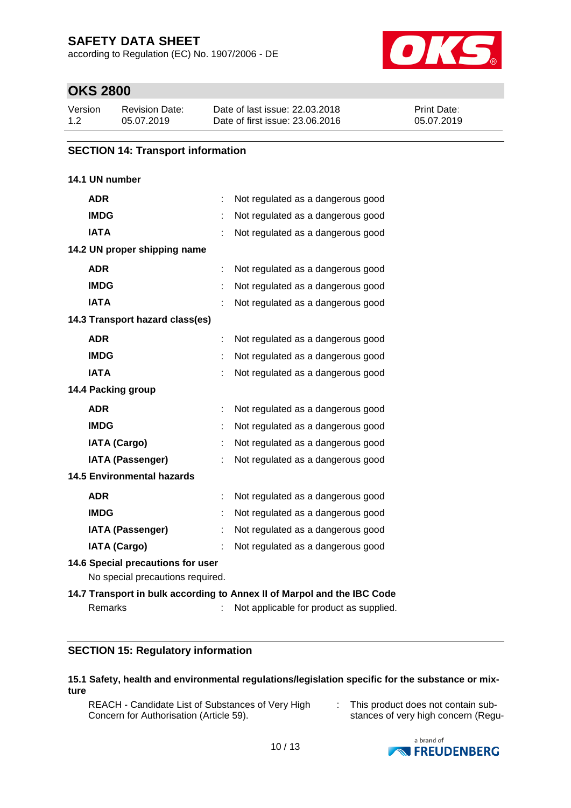according to Regulation (EC) No. 1907/2006 - DE



## **OKS 2800**

| Version | Revision Date: | Date of last issue: 22.03.2018  | <b>Print Date:</b> |
|---------|----------------|---------------------------------|--------------------|
| 1.2     | 05.07.2019     | Date of first issue: 23.06.2016 | 05.07.2019         |

### **SECTION 14: Transport information**

### **14.1 UN number**

| <b>ADR</b>                                                            | Not regulated as a dangerous good                                       |
|-----------------------------------------------------------------------|-------------------------------------------------------------------------|
| <b>IMDG</b>                                                           | Not regulated as a dangerous good                                       |
| <b>IATA</b>                                                           | Not regulated as a dangerous good                                       |
| 14.2 UN proper shipping name                                          |                                                                         |
| <b>ADR</b>                                                            | Not regulated as a dangerous good                                       |
| <b>IMDG</b>                                                           | Not regulated as a dangerous good                                       |
| <b>IATA</b>                                                           | Not regulated as a dangerous good                                       |
| 14.3 Transport hazard class(es)                                       |                                                                         |
| <b>ADR</b>                                                            | Not regulated as a dangerous good                                       |
| <b>IMDG</b>                                                           | Not regulated as a dangerous good                                       |
| <b>IATA</b>                                                           | Not regulated as a dangerous good                                       |
| 14.4 Packing group                                                    |                                                                         |
| <b>ADR</b>                                                            | Not regulated as a dangerous good                                       |
| <b>IMDG</b>                                                           | Not regulated as a dangerous good                                       |
| <b>IATA (Cargo)</b>                                                   | Not regulated as a dangerous good                                       |
| <b>IATA (Passenger)</b>                                               | Not regulated as a dangerous good                                       |
| <b>14.5 Environmental hazards</b>                                     |                                                                         |
| <b>ADR</b>                                                            | Not regulated as a dangerous good                                       |
| <b>IMDG</b>                                                           | Not regulated as a dangerous good                                       |
| <b>IATA (Passenger)</b>                                               | Not regulated as a dangerous good                                       |
| <b>IATA (Cargo)</b>                                                   | Not regulated as a dangerous good                                       |
| 14.6 Special precautions for user<br>No special precautions required. |                                                                         |
|                                                                       | 14.7 Transport in bulk according to Annex II of Marpol and the IBC Code |
| Remarks                                                               | Not applicable for product as supplied.                                 |

### **SECTION 15: Regulatory information**

#### **15.1 Safety, health and environmental regulations/legislation specific for the substance or mixture**

REACH - Candidate List of Substances of Very High Concern for Authorisation (Article 59).

: This product does not contain substances of very high concern (Regu-

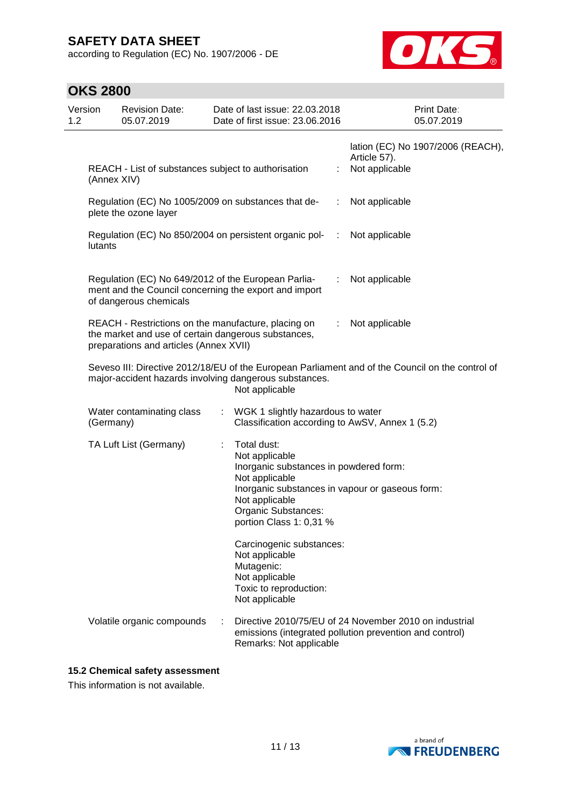according to Regulation (EC) No. 1907/2006 - DE



| Version<br>1.2 |             | <b>Revision Date:</b><br>05.07.2019                                                                                                                  |    | Date of last issue: 22.03.2018<br>Date of first issue: 23.06.2016                                                                                                                                                |               |                                | Print Date:<br>05.07.2019         |
|----------------|-------------|------------------------------------------------------------------------------------------------------------------------------------------------------|----|------------------------------------------------------------------------------------------------------------------------------------------------------------------------------------------------------------------|---------------|--------------------------------|-----------------------------------|
|                | (Annex XIV) | REACH - List of substances subject to authorisation                                                                                                  |    |                                                                                                                                                                                                                  | ÷             | Article 57).<br>Not applicable | lation (EC) No 1907/2006 (REACH), |
|                |             | Regulation (EC) No 1005/2009 on substances that de-<br>plete the ozone layer                                                                         |    |                                                                                                                                                                                                                  | ÷             | Not applicable                 |                                   |
|                | lutants     |                                                                                                                                                      |    | Regulation (EC) No 850/2004 on persistent organic pol-                                                                                                                                                           | $\mathcal{L}$ | Not applicable                 |                                   |
|                |             | Regulation (EC) No 649/2012 of the European Parlia-<br>of dangerous chemicals                                                                        |    | ment and the Council concerning the export and import                                                                                                                                                            | t             | Not applicable                 |                                   |
|                |             | REACH - Restrictions on the manufacture, placing on<br>the market and use of certain dangerous substances,<br>preparations and articles (Annex XVII) |    |                                                                                                                                                                                                                  |               | Not applicable                 |                                   |
|                |             |                                                                                                                                                      |    | Seveso III: Directive 2012/18/EU of the European Parliament and of the Council on the control of<br>major-accident hazards involving dangerous substances.<br>Not applicable                                     |               |                                |                                   |
|                | (Germany)   | Water contaminating class                                                                                                                            | ÷. | WGK 1 slightly hazardous to water<br>Classification according to AwSV, Annex 1 (5.2)                                                                                                                             |               |                                |                                   |
|                |             | TA Luft List (Germany)                                                                                                                               |    | Total dust:<br>Not applicable<br>Inorganic substances in powdered form:<br>Not applicable<br>Inorganic substances in vapour or gaseous form:<br>Not applicable<br>Organic Substances:<br>portion Class 1: 0,31 % |               |                                |                                   |
|                |             |                                                                                                                                                      |    | Carcinogenic substances:<br>Not applicable<br>Mutagenic:<br>Not applicable<br>Toxic to reproduction:<br>Not applicable                                                                                           |               |                                |                                   |
|                |             | Volatile organic compounds                                                                                                                           |    | Directive 2010/75/EU of 24 November 2010 on industrial<br>emissions (integrated pollution prevention and control)<br>Remarks: Not applicable                                                                     |               |                                |                                   |

### **15.2 Chemical safety assessment**

This information is not available.

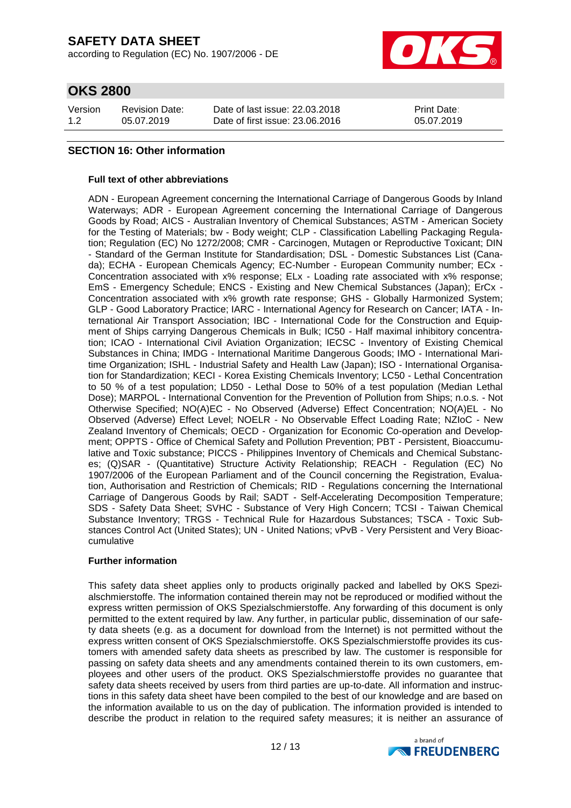according to Regulation (EC) No. 1907/2006 - DE



## **OKS 2800**

| Version | <b>Revision Date:</b> | Date of last issue: 22,03,2018  | <b>Print Date:</b> |
|---------|-----------------------|---------------------------------|--------------------|
| 1.2     | 05.07.2019            | Date of first issue: 23,06,2016 | 05.07.2019         |

### **SECTION 16: Other information**

#### **Full text of other abbreviations**

ADN - European Agreement concerning the International Carriage of Dangerous Goods by Inland Waterways; ADR - European Agreement concerning the International Carriage of Dangerous Goods by Road; AICS - Australian Inventory of Chemical Substances; ASTM - American Society for the Testing of Materials; bw - Body weight; CLP - Classification Labelling Packaging Regulation; Regulation (EC) No 1272/2008; CMR - Carcinogen, Mutagen or Reproductive Toxicant; DIN - Standard of the German Institute for Standardisation; DSL - Domestic Substances List (Canada); ECHA - European Chemicals Agency; EC-Number - European Community number; ECx - Concentration associated with x% response; ELx - Loading rate associated with x% response; EmS - Emergency Schedule; ENCS - Existing and New Chemical Substances (Japan); ErCx - Concentration associated with x% growth rate response; GHS - Globally Harmonized System; GLP - Good Laboratory Practice; IARC - International Agency for Research on Cancer; IATA - International Air Transport Association; IBC - International Code for the Construction and Equipment of Ships carrying Dangerous Chemicals in Bulk; IC50 - Half maximal inhibitory concentration; ICAO - International Civil Aviation Organization; IECSC - Inventory of Existing Chemical Substances in China; IMDG - International Maritime Dangerous Goods; IMO - International Maritime Organization; ISHL - Industrial Safety and Health Law (Japan); ISO - International Organisation for Standardization; KECI - Korea Existing Chemicals Inventory; LC50 - Lethal Concentration to 50 % of a test population; LD50 - Lethal Dose to 50% of a test population (Median Lethal Dose); MARPOL - International Convention for the Prevention of Pollution from Ships; n.o.s. - Not Otherwise Specified; NO(A)EC - No Observed (Adverse) Effect Concentration; NO(A)EL - No Observed (Adverse) Effect Level; NOELR - No Observable Effect Loading Rate; NZIoC - New Zealand Inventory of Chemicals; OECD - Organization for Economic Co-operation and Development; OPPTS - Office of Chemical Safety and Pollution Prevention; PBT - Persistent, Bioaccumulative and Toxic substance; PICCS - Philippines Inventory of Chemicals and Chemical Substances; (Q)SAR - (Quantitative) Structure Activity Relationship; REACH - Regulation (EC) No 1907/2006 of the European Parliament and of the Council concerning the Registration, Evaluation, Authorisation and Restriction of Chemicals; RID - Regulations concerning the International Carriage of Dangerous Goods by Rail; SADT - Self-Accelerating Decomposition Temperature; SDS - Safety Data Sheet; SVHC - Substance of Very High Concern; TCSI - Taiwan Chemical Substance Inventory; TRGS - Technical Rule for Hazardous Substances; TSCA - Toxic Substances Control Act (United States); UN - United Nations; vPvB - Very Persistent and Very Bioaccumulative

#### **Further information**

This safety data sheet applies only to products originally packed and labelled by OKS Spezialschmierstoffe. The information contained therein may not be reproduced or modified without the express written permission of OKS Spezialschmierstoffe. Any forwarding of this document is only permitted to the extent required by law. Any further, in particular public, dissemination of our safety data sheets (e.g. as a document for download from the Internet) is not permitted without the express written consent of OKS Spezialschmierstoffe. OKS Spezialschmierstoffe provides its customers with amended safety data sheets as prescribed by law. The customer is responsible for passing on safety data sheets and any amendments contained therein to its own customers, employees and other users of the product. OKS Spezialschmierstoffe provides no guarantee that safety data sheets received by users from third parties are up-to-date. All information and instructions in this safety data sheet have been compiled to the best of our knowledge and are based on the information available to us on the day of publication. The information provided is intended to describe the product in relation to the required safety measures; it is neither an assurance of